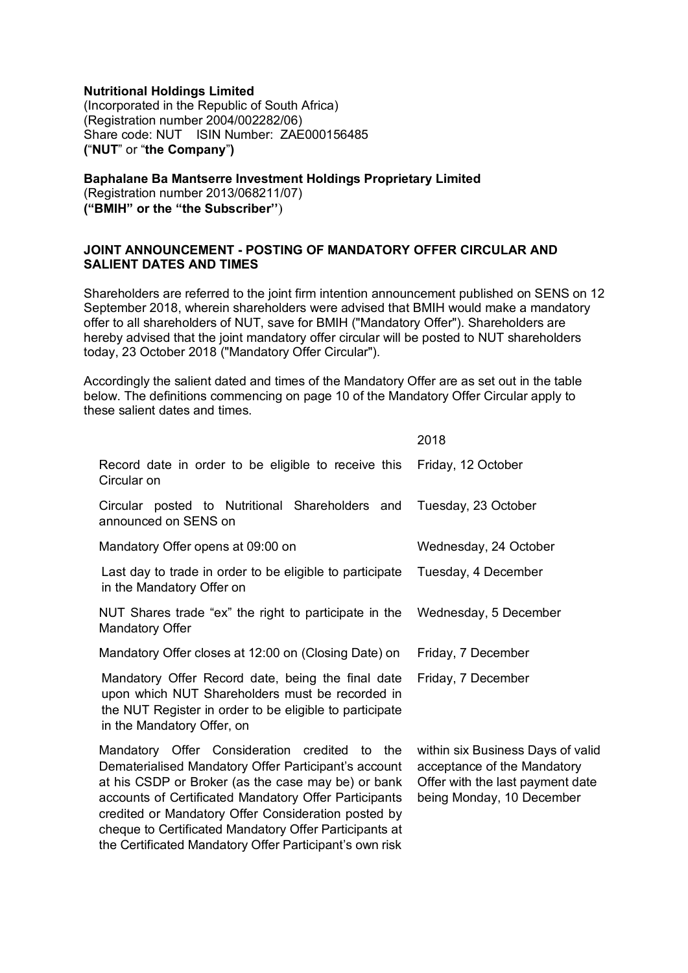## **Nutritional Holdings Limited**

(Incorporated in the Republic of South Africa) (Registration number 2004/002282/06) Share code: NUT ISIN Number: ZAE000156485 **(**"**NUT**" or "**the Company**"**)**

# **Baphalane Ba Mantserre Investment Holdings Proprietary Limited**

(Registration number 2013/068211/07) **("BMIH" or the "the Subscriber''**)

## **JOINT ANNOUNCEMENT - POSTING OF MANDATORY OFFER CIRCULAR AND SALIENT DATES AND TIMES**

Shareholders are referred to the joint firm intention announcement published on SENS on 12 September 2018, wherein shareholders were advised that BMIH would make a mandatory offer to all shareholders of NUT, save for BMIH ("Mandatory Offer"). Shareholders are hereby advised that the joint mandatory offer circular will be posted to NUT shareholders today, 23 October 2018 ("Mandatory Offer Circular").

Accordingly the salient dated and times of the Mandatory Offer are as set out in the table below. The definitions commencing on page 10 of the Mandatory Offer Circular apply to these salient dates and times.

|                                                                                                                                                                                                                                                                                                                                                                                                  | 2018                                                                                                                              |
|--------------------------------------------------------------------------------------------------------------------------------------------------------------------------------------------------------------------------------------------------------------------------------------------------------------------------------------------------------------------------------------------------|-----------------------------------------------------------------------------------------------------------------------------------|
| Record date in order to be eligible to receive this<br>Circular on                                                                                                                                                                                                                                                                                                                               | Friday, 12 October                                                                                                                |
| Circular posted to Nutritional Shareholders and<br>announced on SENS on                                                                                                                                                                                                                                                                                                                          | Tuesday, 23 October                                                                                                               |
| Mandatory Offer opens at 09:00 on                                                                                                                                                                                                                                                                                                                                                                | Wednesday, 24 October                                                                                                             |
| Last day to trade in order to be eligible to participate<br>in the Mandatory Offer on                                                                                                                                                                                                                                                                                                            | Tuesday, 4 December                                                                                                               |
| NUT Shares trade "ex" the right to participate in the<br><b>Mandatory Offer</b>                                                                                                                                                                                                                                                                                                                  | Wednesday, 5 December                                                                                                             |
| Mandatory Offer closes at 12:00 on (Closing Date) on                                                                                                                                                                                                                                                                                                                                             | Friday, 7 December                                                                                                                |
| Mandatory Offer Record date, being the final date<br>upon which NUT Shareholders must be recorded in<br>the NUT Register in order to be eligible to participate<br>in the Mandatory Offer, on                                                                                                                                                                                                    | Friday, 7 December                                                                                                                |
| Mandatory Offer Consideration credited to the<br>Dematerialised Mandatory Offer Participant's account<br>at his CSDP or Broker (as the case may be) or bank<br>accounts of Certificated Mandatory Offer Participants<br>credited or Mandatory Offer Consideration posted by<br>cheque to Certificated Mandatory Offer Participants at<br>the Certificated Mandatory Offer Participant's own risk | within six Business Days of valid<br>acceptance of the Mandatory<br>Offer with the last payment date<br>being Monday, 10 December |